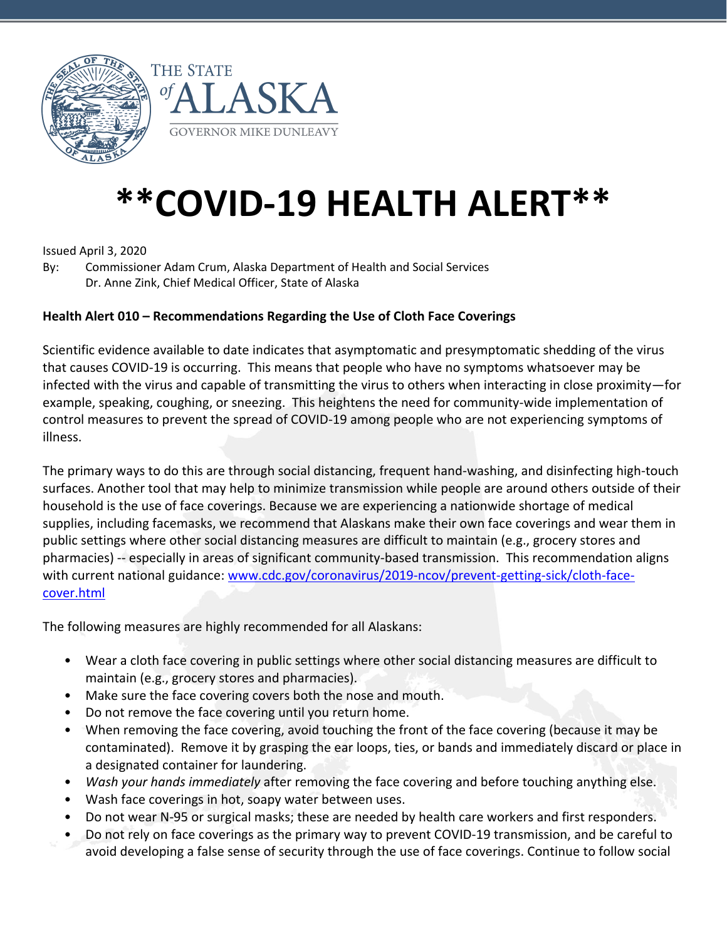



# **\*\*COVID-19 HEALTH ALERT\*\***

Issued April 3, 2020

By: Commissioner Adam Crum, Alaska Department of Health and Social Services Dr. Anne Zink, Chief Medical Officer, State of Alaska

# **Health Alert 010 – Recommendations Regarding the Use of Cloth Face Coverings**

Scientific evidence available to date indicates that asymptomatic and presymptomatic shedding of the virus that causes COVID-19 is occurring. This means that people who have no symptoms whatsoever may be infected with the virus and capable of transmitting the virus to others when interacting in close proximity—for example, speaking, coughing, or sneezing. This heightens the need for community-wide implementation of control measures to prevent the spread of COVID-19 among people who are not experiencing symptoms of illness.

The primary ways to do this are through social distancing, frequent hand-washing, and disinfecting high-touch surfaces. Another tool that may help to minimize transmission while people are around others outside of their household is the use of face coverings. Because we are experiencing a nationwide shortage of medical supplies, including facemasks, we recommend that Alaskans make their own face coverings and wear them in public settings where other social distancing measures are difficult to maintain (e.g., grocery stores and pharmacies) -- especially in areas of significant community-based transmission. This recommendation aligns with current national guidance: [www.cdc.gov/coronavirus/2019-ncov/prevent-getting-sick/cloth-face](https://www.cdc.gov/coronavirus/2019-ncov/prevent-getting-sick/cloth-face-cover.html)[cover.html](https://www.cdc.gov/coronavirus/2019-ncov/prevent-getting-sick/cloth-face-cover.html)

The following measures are highly recommended for all Alaskans:

- Wear a cloth face covering in public settings where other social distancing measures are difficult to maintain (e.g., grocery stores and pharmacies).
- Make sure the face covering covers both the nose and mouth.
- Do not remove the face covering until you return home.
- When removing the face covering, avoid touching the front of the face covering (because it may be contaminated). Remove it by grasping the ear loops, ties, or bands and immediately discard or place in a designated container for laundering.
- *Wash your hands immediately* after removing the face covering and before touching anything else.
- Wash face coverings in hot, soapy water between uses.
- Do not wear N-95 or surgical masks; these are needed by health care workers and first responders.
- Do not rely on face coverings as the primary way to prevent COVID-19 transmission, and be careful to avoid developing a false sense of security through the use of face coverings. Continue to follow social